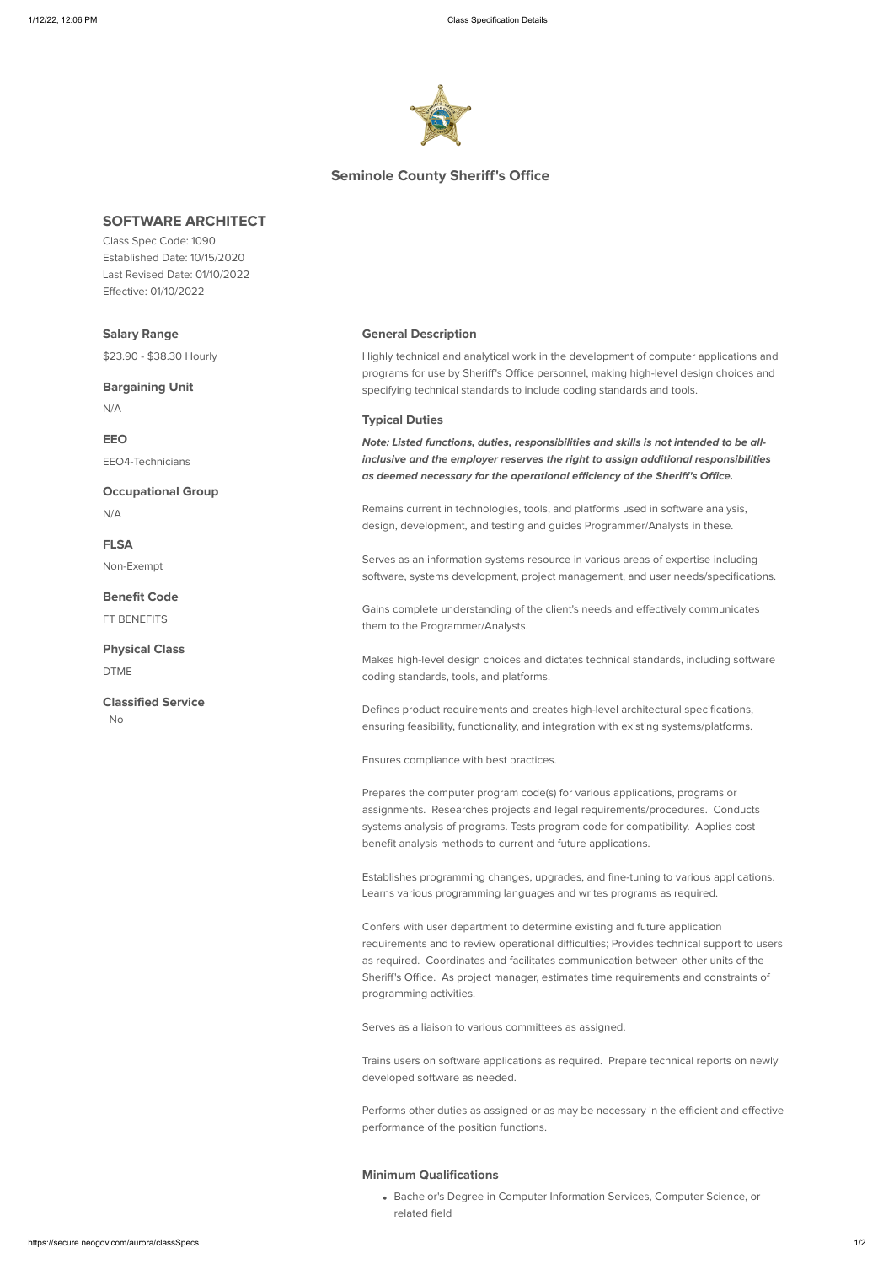

# **Seminole County Sheriff's Office**

## **SOFTWARE ARCHITECT**

Class Spec Code: 1090 Established Date: 10/15/2020 Last Revised Date: 01/10/2022 Effective: 01/10/2022

| <b>Salary Range</b>             | <b>General Description</b>                                                                                                                                                                                                                                                                                      |
|---------------------------------|-----------------------------------------------------------------------------------------------------------------------------------------------------------------------------------------------------------------------------------------------------------------------------------------------------------------|
| \$23.90 - \$38.30 Hourly        | Highly technical and analytical work in the development of computer applications and<br>programs for use by Sheriff's Office personnel, making high-level design choices and                                                                                                                                    |
| <b>Bargaining Unit</b>          | specifying technical standards to include coding standards and tools.                                                                                                                                                                                                                                           |
| N/A                             | <b>Typical Duties</b>                                                                                                                                                                                                                                                                                           |
| <b>EEO</b>                      | Note: Listed functions, duties, responsibilities and skills is not intended to be all-                                                                                                                                                                                                                          |
| EEO4-Technicians                | inclusive and the employer reserves the right to assign additional responsibilities<br>as deemed necessary for the operational efficiency of the Sheriff's Office.                                                                                                                                              |
| <b>Occupational Group</b>       |                                                                                                                                                                                                                                                                                                                 |
| N/A                             | Remains current in technologies, tools, and platforms used in software analysis,<br>design, development, and testing and guides Programmer/Analysts in these.                                                                                                                                                   |
| <b>FLSA</b>                     |                                                                                                                                                                                                                                                                                                                 |
| Non-Exempt                      | Serves as an information systems resource in various areas of expertise including<br>software, systems development, project management, and user needs/specifications.                                                                                                                                          |
| <b>Benefit Code</b>             |                                                                                                                                                                                                                                                                                                                 |
| FT BENEFITS                     | Gains complete understanding of the client's needs and effectively communicates<br>them to the Programmer/Analysts.                                                                                                                                                                                             |
| <b>Physical Class</b>           | Makes high-level design choices and dictates technical standards, including software                                                                                                                                                                                                                            |
| <b>DTME</b>                     | coding standards, tools, and platforms.                                                                                                                                                                                                                                                                         |
| <b>Classified Service</b><br>No | Defines product requirements and creates high-level architectural specifications,<br>ensuring feasibility, functionality, and integration with existing systems/platforms.                                                                                                                                      |
|                                 | Ensures compliance with best practices.                                                                                                                                                                                                                                                                         |
|                                 | Prepares the computer program code(s) for various applications, programs or<br>assignments. Researches projects and legal requirements/procedures. Conducts<br>systems analysis of programs. Tests program code for compatibility. Applies cost<br>benefit analysis methods to current and future applications. |
|                                 | Establishes programming changes, upgrades, and fine-tuning to various applications.<br>Learns various programming languages and writes programs as required.                                                                                                                                                    |

Confers with user department to determine existing and future application requirements and to review operational difficulties; Provides technical support to users

as required. Coordinates and facilitates communication between other units of the Sheriff's Office. As project manager, estimates time requirements and constraints of programming activities.

Serves as a liaison to various committees as assigned.

Trains users on software applications as required. Prepare technical reports on newly developed software as needed.

Performs other duties as assigned or as may be necessary in the efficient and effective performance of the position functions.

## **Minimum Qualifications**

Bachelor's Degree in Computer Information Services, Computer Science, or related field